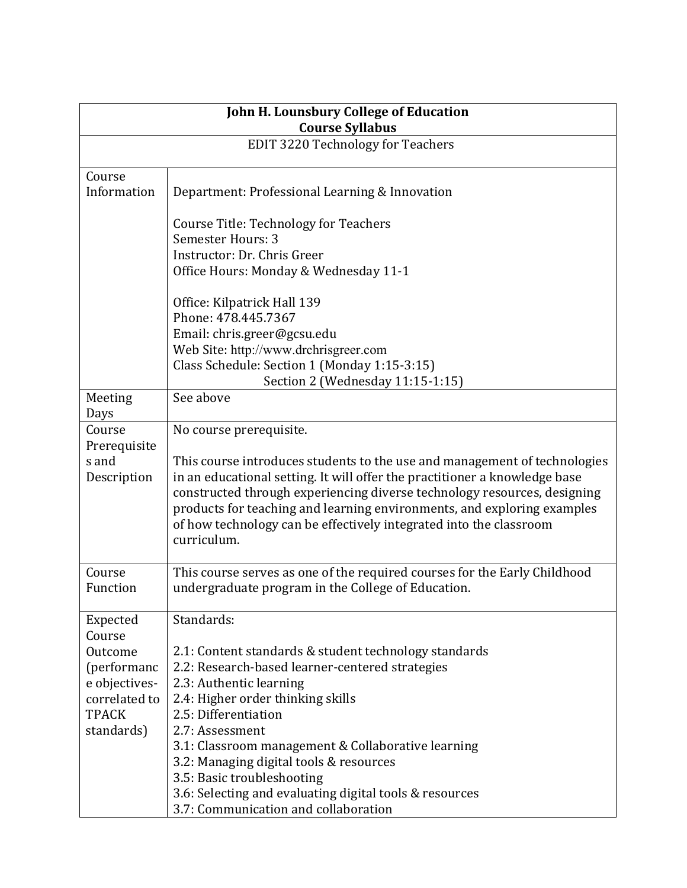| John H. Lounsbury College of Education<br><b>Course Syllabus</b>                                             |                                                                                                                                                                                                                                                                                                                                                                                                                                                                     |  |
|--------------------------------------------------------------------------------------------------------------|---------------------------------------------------------------------------------------------------------------------------------------------------------------------------------------------------------------------------------------------------------------------------------------------------------------------------------------------------------------------------------------------------------------------------------------------------------------------|--|
|                                                                                                              | <b>EDIT 3220 Technology for Teachers</b>                                                                                                                                                                                                                                                                                                                                                                                                                            |  |
|                                                                                                              |                                                                                                                                                                                                                                                                                                                                                                                                                                                                     |  |
| Course<br>Information                                                                                        | Department: Professional Learning & Innovation                                                                                                                                                                                                                                                                                                                                                                                                                      |  |
|                                                                                                              | <b>Course Title: Technology for Teachers</b><br><b>Semester Hours: 3</b><br>Instructor: Dr. Chris Greer                                                                                                                                                                                                                                                                                                                                                             |  |
|                                                                                                              | Office Hours: Monday & Wednesday 11-1                                                                                                                                                                                                                                                                                                                                                                                                                               |  |
|                                                                                                              | Office: Kilpatrick Hall 139<br>Phone: 478.445.7367<br>Email: chris.greer@gcsu.edu<br>Web Site: http://www.drchrisgreer.com<br>Class Schedule: Section 1 (Monday 1:15-3:15)                                                                                                                                                                                                                                                                                          |  |
|                                                                                                              | Section 2 (Wednesday 11:15-1:15)                                                                                                                                                                                                                                                                                                                                                                                                                                    |  |
| Meeting<br>Days                                                                                              | See above                                                                                                                                                                                                                                                                                                                                                                                                                                                           |  |
| Course<br>Prerequisite<br>s and<br>Description                                                               | No course prerequisite.<br>This course introduces students to the use and management of technologies<br>in an educational setting. It will offer the practitioner a knowledge base<br>constructed through experiencing diverse technology resources, designing<br>products for teaching and learning environments, and exploring examples<br>of how technology can be effectively integrated into the classroom<br>curriculum.                                      |  |
| Course<br>Function                                                                                           | This course serves as one of the required courses for the Early Childhood<br>undergraduate program in the College of Education.                                                                                                                                                                                                                                                                                                                                     |  |
| Expected<br>Course<br>Outcome<br>(performanc<br>e objectives-<br>correlated to<br><b>TPACK</b><br>standards) | Standards:<br>2.1: Content standards & student technology standards<br>2.2: Research-based learner-centered strategies<br>2.3: Authentic learning<br>2.4: Higher order thinking skills<br>2.5: Differentiation<br>2.7: Assessment<br>3.1: Classroom management & Collaborative learning<br>3.2: Managing digital tools & resources<br>3.5: Basic troubleshooting<br>3.6: Selecting and evaluating digital tools & resources<br>3.7: Communication and collaboration |  |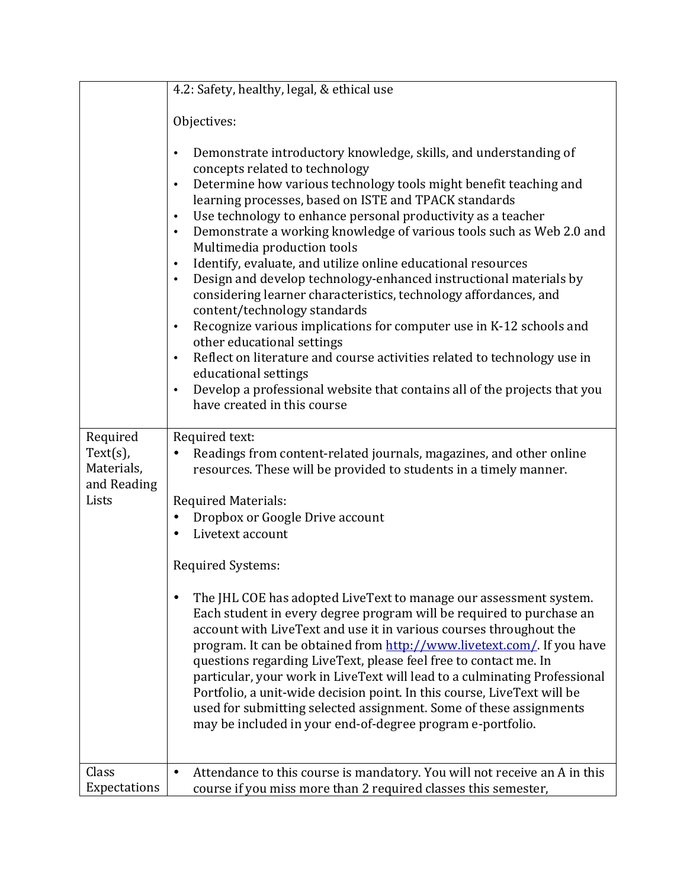|                                          | 4.2: Safety, healthy, legal, & ethical use                                                                                                                                                                                                                                                                                                                                                                                                                                                                                                                                                                                                                                                                                                                                                                                                                                                                                                                                                                                                                                                 |
|------------------------------------------|--------------------------------------------------------------------------------------------------------------------------------------------------------------------------------------------------------------------------------------------------------------------------------------------------------------------------------------------------------------------------------------------------------------------------------------------------------------------------------------------------------------------------------------------------------------------------------------------------------------------------------------------------------------------------------------------------------------------------------------------------------------------------------------------------------------------------------------------------------------------------------------------------------------------------------------------------------------------------------------------------------------------------------------------------------------------------------------------|
|                                          | Objectives:                                                                                                                                                                                                                                                                                                                                                                                                                                                                                                                                                                                                                                                                                                                                                                                                                                                                                                                                                                                                                                                                                |
|                                          | Demonstrate introductory knowledge, skills, and understanding of<br>$\bullet$<br>concepts related to technology<br>Determine how various technology tools might benefit teaching and<br>$\bullet$<br>learning processes, based on ISTE and TPACK standards<br>Use technology to enhance personal productivity as a teacher<br>$\bullet$<br>Demonstrate a working knowledge of various tools such as Web 2.0 and<br>$\bullet$<br>Multimedia production tools<br>Identify, evaluate, and utilize online educational resources<br>$\bullet$<br>Design and develop technology-enhanced instructional materials by<br>$\bullet$<br>considering learner characteristics, technology affordances, and<br>content/technology standards<br>Recognize various implications for computer use in K-12 schools and<br>$\bullet$<br>other educational settings<br>Reflect on literature and course activities related to technology use in<br>$\bullet$<br>educational settings<br>Develop a professional website that contains all of the projects that you<br>$\bullet$<br>have created in this course |
| Required                                 | Required text:                                                                                                                                                                                                                                                                                                                                                                                                                                                                                                                                                                                                                                                                                                                                                                                                                                                                                                                                                                                                                                                                             |
| $Text(s)$ ,<br>Materials,<br>and Reading | Readings from content-related journals, magazines, and other online<br>resources. These will be provided to students in a timely manner.                                                                                                                                                                                                                                                                                                                                                                                                                                                                                                                                                                                                                                                                                                                                                                                                                                                                                                                                                   |
| Lists                                    | <b>Required Materials:</b>                                                                                                                                                                                                                                                                                                                                                                                                                                                                                                                                                                                                                                                                                                                                                                                                                                                                                                                                                                                                                                                                 |
|                                          | Dropbox or Google Drive account<br>Livetext account                                                                                                                                                                                                                                                                                                                                                                                                                                                                                                                                                                                                                                                                                                                                                                                                                                                                                                                                                                                                                                        |
|                                          | <b>Required Systems:</b>                                                                                                                                                                                                                                                                                                                                                                                                                                                                                                                                                                                                                                                                                                                                                                                                                                                                                                                                                                                                                                                                   |
|                                          | The JHL COE has adopted LiveText to manage our assessment system.<br>٠<br>Each student in every degree program will be required to purchase an<br>account with LiveText and use it in various courses throughout the<br>program. It can be obtained from http://www.livetext.com/. If you have<br>questions regarding LiveText, please feel free to contact me. In<br>particular, your work in LiveText will lead to a culminating Professional<br>Portfolio, a unit-wide decision point. In this course, LiveText will be<br>used for submitting selected assignment. Some of these assignments<br>may be included in your end-of-degree program e-portfolio.                                                                                                                                                                                                                                                                                                                                                                                                                             |
| Class                                    | Attendance to this course is mandatory. You will not receive an A in this<br>$\bullet$                                                                                                                                                                                                                                                                                                                                                                                                                                                                                                                                                                                                                                                                                                                                                                                                                                                                                                                                                                                                     |
| Expectations                             | course if you miss more than 2 required classes this semester,                                                                                                                                                                                                                                                                                                                                                                                                                                                                                                                                                                                                                                                                                                                                                                                                                                                                                                                                                                                                                             |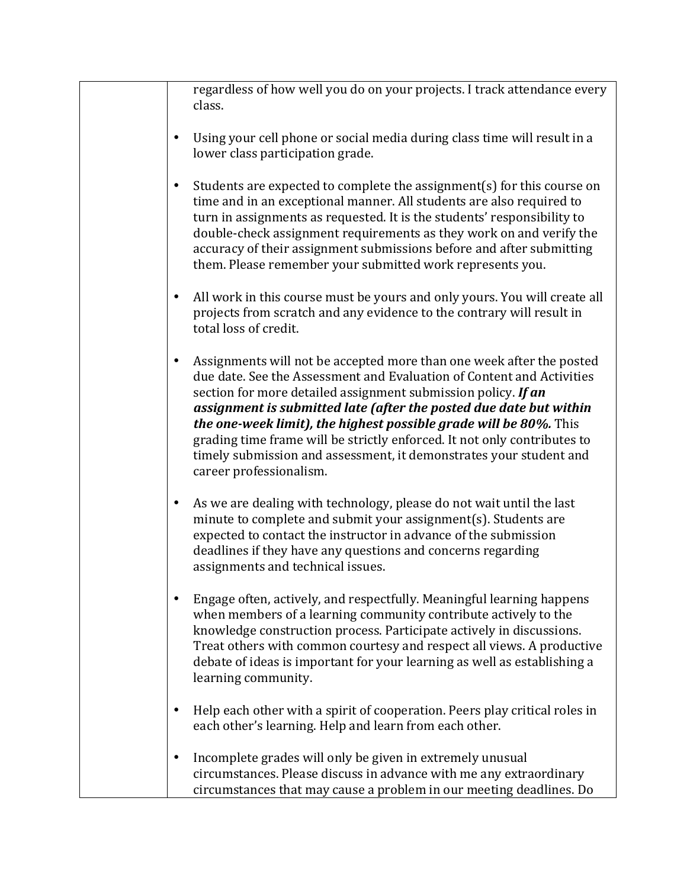| regardless of how well you do on your projects. I track attendance every<br>class.                                                                                                                                                                                                                                                                                                                                                                                                                                                     |
|----------------------------------------------------------------------------------------------------------------------------------------------------------------------------------------------------------------------------------------------------------------------------------------------------------------------------------------------------------------------------------------------------------------------------------------------------------------------------------------------------------------------------------------|
| Using your cell phone or social media during class time will result in a<br>lower class participation grade.                                                                                                                                                                                                                                                                                                                                                                                                                           |
| Students are expected to complete the assignment(s) for this course on<br>time and in an exceptional manner. All students are also required to<br>turn in assignments as requested. It is the students' responsibility to<br>double-check assignment requirements as they work on and verify the<br>accuracy of their assignment submissions before and after submitting<br>them. Please remember your submitted work represents you.                                                                                                  |
| All work in this course must be yours and only yours. You will create all<br>projects from scratch and any evidence to the contrary will result in<br>total loss of credit.                                                                                                                                                                                                                                                                                                                                                            |
| Assignments will not be accepted more than one week after the posted<br>due date. See the Assessment and Evaluation of Content and Activities<br>section for more detailed assignment submission policy. If an<br>assignment is submitted late (after the posted due date but within<br>the one-week limit), the highest possible grade will be 80%. This<br>grading time frame will be strictly enforced. It not only contributes to<br>timely submission and assessment, it demonstrates your student and<br>career professionalism. |
| As we are dealing with technology, please do not wait until the last<br>minute to complete and submit your assignment(s). Students are<br>expected to contact the instructor in advance of the submission<br>deadlines if they have any questions and concerns regarding<br>assignments and technical issues.                                                                                                                                                                                                                          |
| Engage often, actively, and respectfully. Meaningful learning happens<br>when members of a learning community contribute actively to the<br>knowledge construction process. Participate actively in discussions.<br>Treat others with common courtesy and respect all views. A productive<br>debate of ideas is important for your learning as well as establishing a<br>learning community.                                                                                                                                           |
| Help each other with a spirit of cooperation. Peers play critical roles in<br>each other's learning. Help and learn from each other.                                                                                                                                                                                                                                                                                                                                                                                                   |
| Incomplete grades will only be given in extremely unusual<br>circumstances. Please discuss in advance with me any extraordinary<br>circumstances that may cause a problem in our meeting deadlines. Do                                                                                                                                                                                                                                                                                                                                 |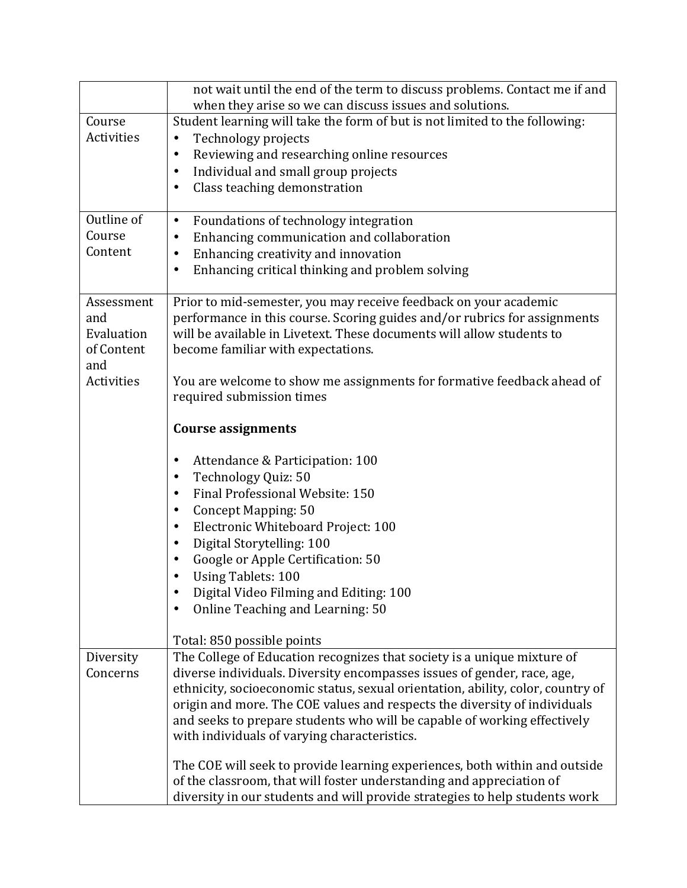|            | not wait until the end of the term to discuss problems. Contact me if and<br>when they arise so we can discuss issues and solutions. |
|------------|--------------------------------------------------------------------------------------------------------------------------------------|
| Course     | Student learning will take the form of but is not limited to the following:                                                          |
| Activities | Technology projects<br>$\bullet$                                                                                                     |
|            | Reviewing and researching online resources<br>٠                                                                                      |
|            | Individual and small group projects<br>٠                                                                                             |
|            | Class teaching demonstration<br>٠                                                                                                    |
|            |                                                                                                                                      |
| Outline of | Foundations of technology integration<br>$\bullet$                                                                                   |
| Course     | Enhancing communication and collaboration<br>٠                                                                                       |
| Content    | Enhancing creativity and innovation<br>٠                                                                                             |
|            | Enhancing critical thinking and problem solving<br>٠                                                                                 |
|            |                                                                                                                                      |
| Assessment | Prior to mid-semester, you may receive feedback on your academic                                                                     |
| and        | performance in this course. Scoring guides and/or rubrics for assignments                                                            |
| Evaluation | will be available in Livetext. These documents will allow students to                                                                |
| of Content | become familiar with expectations.                                                                                                   |
| and        |                                                                                                                                      |
| Activities | You are welcome to show me assignments for formative feedback ahead of                                                               |
|            | required submission times                                                                                                            |
|            |                                                                                                                                      |
|            | <b>Course assignments</b>                                                                                                            |
|            | Attendance & Participation: 100<br>٠                                                                                                 |
|            | Technology Quiz: 50<br>٠                                                                                                             |
|            | Final Professional Website: 150<br>٠                                                                                                 |
|            | <b>Concept Mapping: 50</b><br>٠                                                                                                      |
|            | Electronic Whiteboard Project: 100<br>٠                                                                                              |
|            | Digital Storytelling: 100<br>٠                                                                                                       |
|            | Google or Apple Certification: 50                                                                                                    |
|            | <b>Using Tablets: 100</b>                                                                                                            |
|            | Digital Video Filming and Editing: 100                                                                                               |
|            | Online Teaching and Learning: 50<br>٠                                                                                                |
|            |                                                                                                                                      |
|            | Total: 850 possible points                                                                                                           |
| Diversity  | The College of Education recognizes that society is a unique mixture of                                                              |
| Concerns   | diverse individuals. Diversity encompasses issues of gender, race, age,                                                              |
|            | ethnicity, socioeconomic status, sexual orientation, ability, color, country of                                                      |
|            | origin and more. The COE values and respects the diversity of individuals                                                            |
|            | and seeks to prepare students who will be capable of working effectively                                                             |
|            | with individuals of varying characteristics.                                                                                         |
|            | The COE will seek to provide learning experiences, both within and outside                                                           |
|            | of the classroom, that will foster understanding and appreciation of                                                                 |
|            | diversity in our students and will provide strategies to help students work                                                          |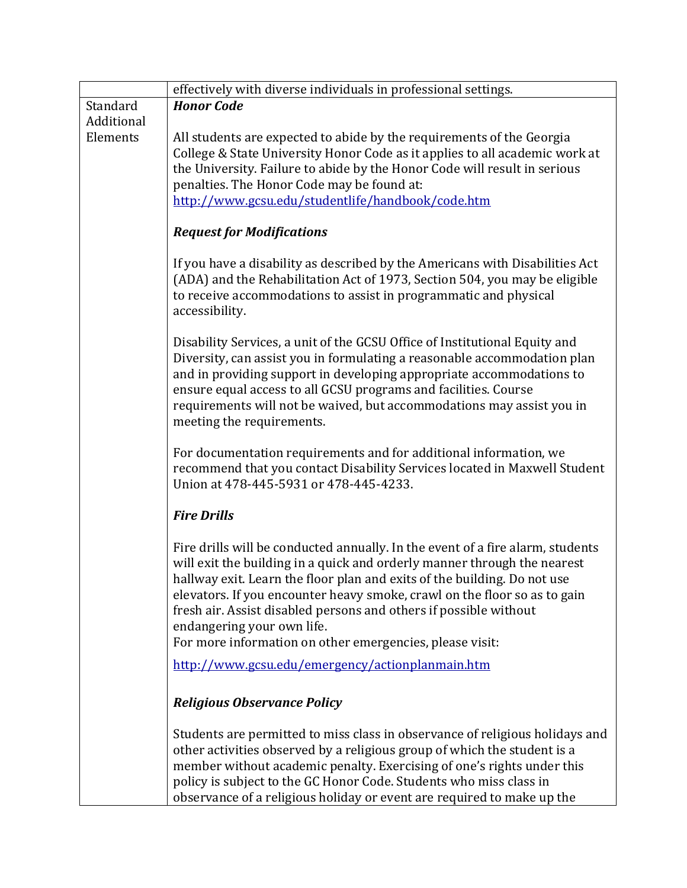|                        | effectively with diverse individuals in professional settings.                                                                                                                                                                                                                                                                                                                                                                                                                     |
|------------------------|------------------------------------------------------------------------------------------------------------------------------------------------------------------------------------------------------------------------------------------------------------------------------------------------------------------------------------------------------------------------------------------------------------------------------------------------------------------------------------|
| Standard               | <b>Honor Code</b>                                                                                                                                                                                                                                                                                                                                                                                                                                                                  |
| Additional<br>Elements | All students are expected to abide by the requirements of the Georgia<br>College & State University Honor Code as it applies to all academic work at<br>the University. Failure to abide by the Honor Code will result in serious<br>penalties. The Honor Code may be found at:<br>http://www.gcsu.edu/studentlife/handbook/code.htm                                                                                                                                               |
|                        | <b>Request for Modifications</b>                                                                                                                                                                                                                                                                                                                                                                                                                                                   |
|                        | If you have a disability as described by the Americans with Disabilities Act<br>(ADA) and the Rehabilitation Act of 1973, Section 504, you may be eligible<br>to receive accommodations to assist in programmatic and physical<br>accessibility.                                                                                                                                                                                                                                   |
|                        | Disability Services, a unit of the GCSU Office of Institutional Equity and<br>Diversity, can assist you in formulating a reasonable accommodation plan<br>and in providing support in developing appropriate accommodations to<br>ensure equal access to all GCSU programs and facilities. Course<br>requirements will not be waived, but accommodations may assist you in<br>meeting the requirements.                                                                            |
|                        | For documentation requirements and for additional information, we<br>recommend that you contact Disability Services located in Maxwell Student<br>Union at 478-445-5931 or 478-445-4233.                                                                                                                                                                                                                                                                                           |
|                        | <b>Fire Drills</b>                                                                                                                                                                                                                                                                                                                                                                                                                                                                 |
|                        | Fire drills will be conducted annually. In the event of a fire alarm, students<br>will exit the building in a quick and orderly manner through the nearest<br>hallway exit. Learn the floor plan and exits of the building. Do not use<br>elevators. If you encounter heavy smoke, crawl on the floor so as to gain<br>fresh air. Assist disabled persons and others if possible without<br>endangering your own life.<br>For more information on other emergencies, please visit: |
|                        | http://www.gcsu.edu/emergency/actionplanmain.htm                                                                                                                                                                                                                                                                                                                                                                                                                                   |
|                        | <b>Religious Observance Policy</b>                                                                                                                                                                                                                                                                                                                                                                                                                                                 |
|                        | Students are permitted to miss class in observance of religious holidays and<br>other activities observed by a religious group of which the student is a<br>member without academic penalty. Exercising of one's rights under this<br>policy is subject to the GC Honor Code. Students who miss class in<br>observance of a religious holiday or event are required to make up the                                                                                                 |